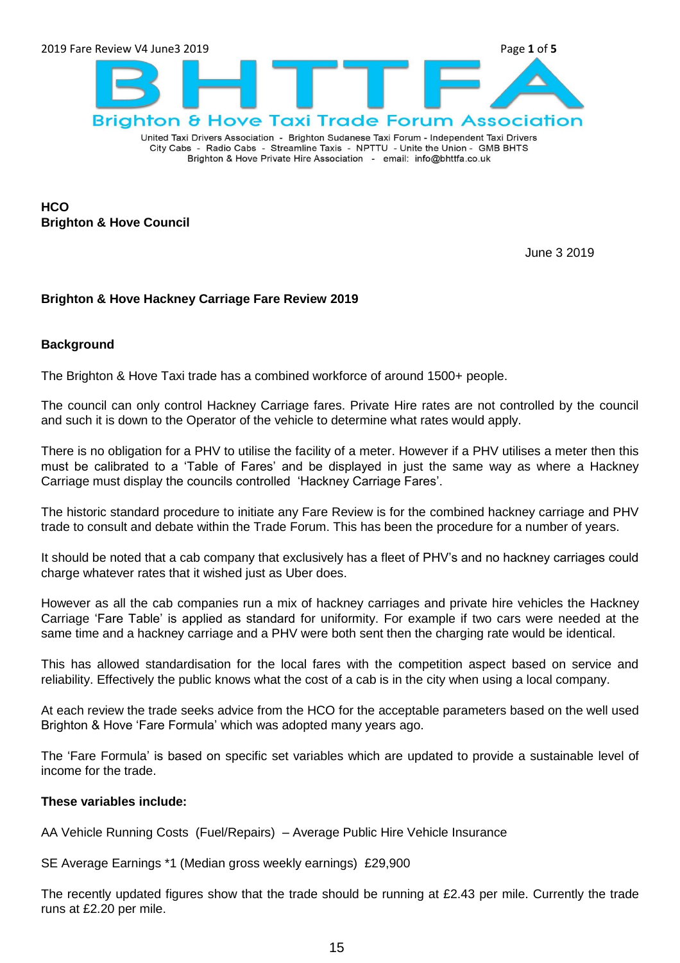

City Cabs - Radio Cabs - Streamline Taxis - NPTTU - Unite the Union - GMB BHTS Brighton & Hove Private Hire Association - email: info@bhttfa.co.uk

**HCO Brighton & Hove Council**

June 3 2019

#### **Brighton & Hove Hackney Carriage Fare Review 2019**

#### **Background**

The Brighton & Hove Taxi trade has a combined workforce of around 1500+ people.

The council can only control Hackney Carriage fares. Private Hire rates are not controlled by the council and such it is down to the Operator of the vehicle to determine what rates would apply.

There is no obligation for a PHV to utilise the facility of a meter. However if a PHV utilises a meter then this must be calibrated to a "Table of Fares" and be displayed in just the same way as where a Hackney Carriage must display the councils controlled "Hackney Carriage Fares".

The historic standard procedure to initiate any Fare Review is for the combined hackney carriage and PHV trade to consult and debate within the Trade Forum. This has been the procedure for a number of years.

It should be noted that a cab company that exclusively has a fleet of PHV"s and no hackney carriages could charge whatever rates that it wished just as Uber does.

However as all the cab companies run a mix of hackney carriages and private hire vehicles the Hackney Carriage "Fare Table" is applied as standard for uniformity. For example if two cars were needed at the same time and a hackney carriage and a PHV were both sent then the charging rate would be identical.

This has allowed standardisation for the local fares with the competition aspect based on service and reliability. Effectively the public knows what the cost of a cab is in the city when using a local company.

At each review the trade seeks advice from the HCO for the acceptable parameters based on the well used Brighton & Hove "Fare Formula" which was adopted many years ago.

The "Fare Formula" is based on specific set variables which are updated to provide a sustainable level of income for the trade.

#### **These variables include:**

AA Vehicle Running Costs (Fuel/Repairs) – Average Public Hire Vehicle Insurance

SE Average Earnings \*1 (Median gross weekly earnings) £29,900

The recently updated figures show that the trade should be running at £2.43 per mile. Currently the trade runs at £2.20 per mile.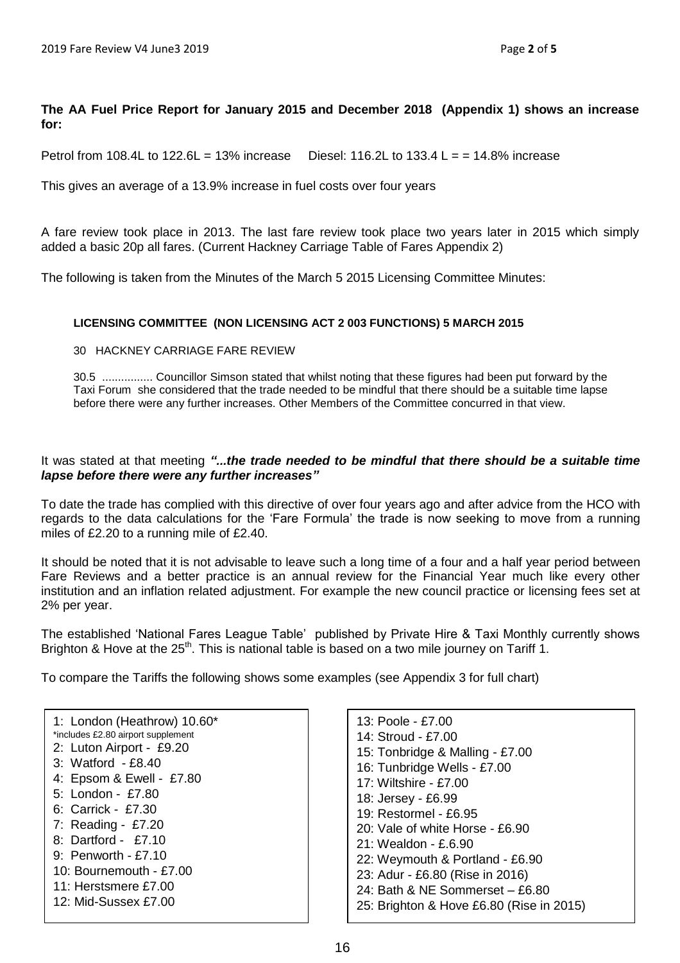#### **The AA Fuel Price Report for January 2015 and December 2018 (Appendix 1) shows an increase for:**

Petrol from 108.4L to 122.6L = 13% increase Diesel: 116.2L to 133.4 L =  $= 14.8\%$  increase

This gives an average of a 13.9% increase in fuel costs over four years

A fare review took place in 2013. The last fare review took place two years later in 2015 which simply added a basic 20p all fares. (Current Hackney Carriage Table of Fares Appendix 2)

The following is taken from the Minutes of the March 5 2015 Licensing Committee Minutes:

#### **LICENSING COMMITTEE (NON LICENSING ACT 2 003 FUNCTIONS) 5 MARCH 2015**

30 HACKNEY CARRIAGE FARE REVIEW

30.5 ................ Councillor Simson stated that whilst noting that these figures had been put forward by the Taxi Forum she considered that the trade needed to be mindful that there should be a suitable time lapse before there were any further increases. Other Members of the Committee concurred in that view.

#### It was stated at that meeting *"...the trade needed to be mindful that there should be a suitable time lapse before there were any further increases"*

To date the trade has complied with this directive of over four years ago and after advice from the HCO with regards to the data calculations for the "Fare Formula" the trade is now seeking to move from a running miles of £2.20 to a running mile of £2.40.

It should be noted that it is not advisable to leave such a long time of a four and a half year period between Fare Reviews and a better practice is an annual review for the Financial Year much like every other institution and an inflation related adjustment. For example the new council practice or licensing fees set at 2% per year.

The established "National Fares League Table" published by Private Hire & Taxi Monthly currently shows Brighton & Hove at the  $25<sup>th</sup>$ . This is national table is based on a two mile journey on Tariff 1.

To compare the Tariffs the following shows some examples (see Appendix 3 for full chart)

| 13: Poole - £7.00                        |
|------------------------------------------|
| 14: Stroud - £7.00                       |
| 15: Tonbridge & Malling - £7.00          |
| 16: Tunbridge Wells - £7.00              |
| $17:$ Wiltshire - £7.00                  |
| 18: Jersey - £6.99                       |
| 19: Restormel - £6.95                    |
| $20:$ Vale of white Horse - £6,90        |
| 21: Wealdon - £.6.90                     |
| 22: Weymouth & Portland - £6.90          |
| 23: Adur - £6.80 (Rise in 2016)          |
| 24: Bath & NE Sommerset $-$ £6.80        |
| 25: Brighton & Hove £6.80 (Rise in 2015) |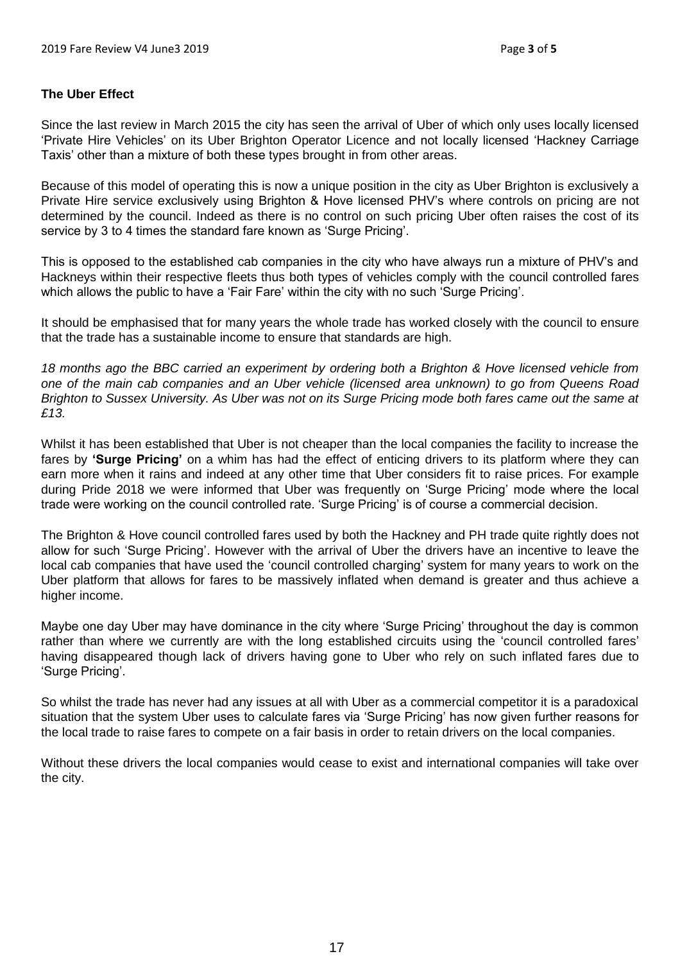#### **The Uber Effect**

Since the last review in March 2015 the city has seen the arrival of Uber of which only uses locally licensed "Private Hire Vehicles" on its Uber Brighton Operator Licence and not locally licensed "Hackney Carriage Taxis" other than a mixture of both these types brought in from other areas.

Because of this model of operating this is now a unique position in the city as Uber Brighton is exclusively a Private Hire service exclusively using Brighton & Hove licensed PHV"s where controls on pricing are not determined by the council. Indeed as there is no control on such pricing Uber often raises the cost of its service by 3 to 4 times the standard fare known as 'Surge Pricing'.

This is opposed to the established cab companies in the city who have always run a mixture of PHV"s and Hackneys within their respective fleets thus both types of vehicles comply with the council controlled fares which allows the public to have a 'Fair Fare' within the city with no such 'Surge Pricing'.

It should be emphasised that for many years the whole trade has worked closely with the council to ensure that the trade has a sustainable income to ensure that standards are high.

*18 months ago the BBC carried an experiment by ordering both a Brighton & Hove licensed vehicle from one of the main cab companies and an Uber vehicle (licensed area unknown) to go from Queens Road Brighton to Sussex University. As Uber was not on its Surge Pricing mode both fares came out the same at £13.*

Whilst it has been established that Uber is not cheaper than the local companies the facility to increase the fares by **'Surge Pricing'** on a whim has had the effect of enticing drivers to its platform where they can earn more when it rains and indeed at any other time that Uber considers fit to raise prices. For example during Pride 2018 we were informed that Uber was frequently on "Surge Pricing" mode where the local trade were working on the council controlled rate. "Surge Pricing" is of course a commercial decision.

The Brighton & Hove council controlled fares used by both the Hackney and PH trade quite rightly does not allow for such "Surge Pricing". However with the arrival of Uber the drivers have an incentive to leave the local cab companies that have used the "council controlled charging" system for many years to work on the Uber platform that allows for fares to be massively inflated when demand is greater and thus achieve a higher income.

Maybe one day Uber may have dominance in the city where "Surge Pricing" throughout the day is common rather than where we currently are with the long established circuits using the 'council controlled fares' having disappeared though lack of drivers having gone to Uber who rely on such inflated fares due to 'Surge Pricing'.

So whilst the trade has never had any issues at all with Uber as a commercial competitor it is a paradoxical situation that the system Uber uses to calculate fares via "Surge Pricing" has now given further reasons for the local trade to raise fares to compete on a fair basis in order to retain drivers on the local companies.

Without these drivers the local companies would cease to exist and international companies will take over the city.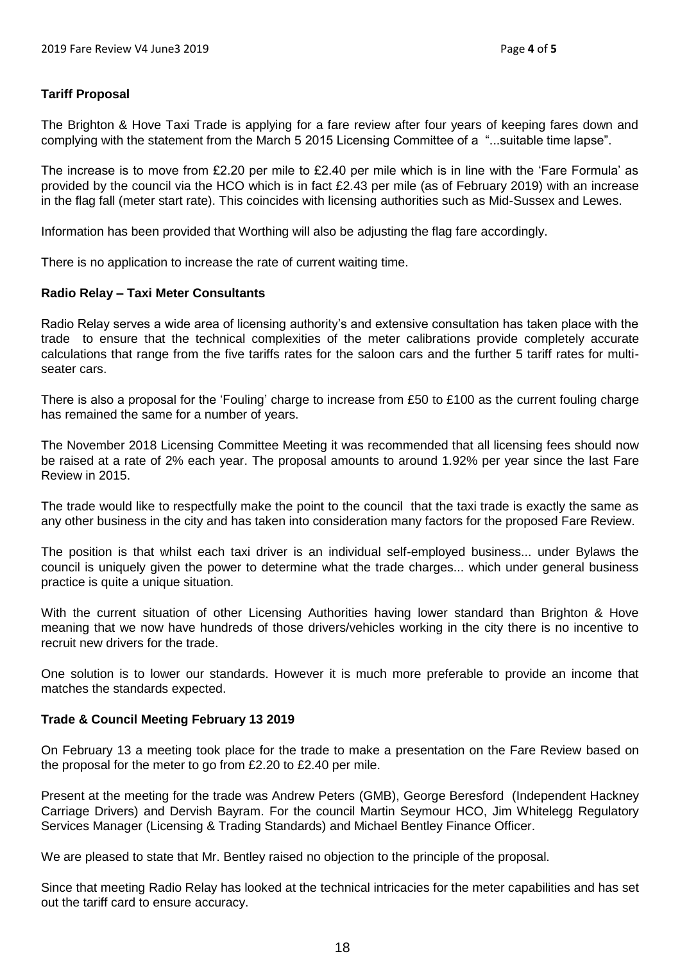#### **Tariff Proposal**

The Brighton & Hove Taxi Trade is applying for a fare review after four years of keeping fares down and complying with the statement from the March 5 2015 Licensing Committee of a "...suitable time lapse".

The increase is to move from £2.20 per mile to £2.40 per mile which is in line with the 'Fare Formula' as provided by the council via the HCO which is in fact £2.43 per mile (as of February 2019) with an increase in the flag fall (meter start rate). This coincides with licensing authorities such as Mid-Sussex and Lewes.

Information has been provided that Worthing will also be adjusting the flag fare accordingly.

There is no application to increase the rate of current waiting time.

#### **Radio Relay – Taxi Meter Consultants**

Radio Relay serves a wide area of licensing authority"s and extensive consultation has taken place with the trade to ensure that the technical complexities of the meter calibrations provide completely accurate calculations that range from the five tariffs rates for the saloon cars and the further 5 tariff rates for multiseater cars.

There is also a proposal for the 'Fouling' charge to increase from £50 to £100 as the current fouling charge has remained the same for a number of years.

The November 2018 Licensing Committee Meeting it was recommended that all licensing fees should now be raised at a rate of 2% each year. The proposal amounts to around 1.92% per year since the last Fare Review in 2015.

The trade would like to respectfully make the point to the council that the taxi trade is exactly the same as any other business in the city and has taken into consideration many factors for the proposed Fare Review.

The position is that whilst each taxi driver is an individual self-employed business... under Bylaws the council is uniquely given the power to determine what the trade charges... which under general business practice is quite a unique situation.

With the current situation of other Licensing Authorities having lower standard than Brighton & Hove meaning that we now have hundreds of those drivers/vehicles working in the city there is no incentive to recruit new drivers for the trade.

One solution is to lower our standards. However it is much more preferable to provide an income that matches the standards expected.

#### **Trade & Council Meeting February 13 2019**

On February 13 a meeting took place for the trade to make a presentation on the Fare Review based on the proposal for the meter to go from £2.20 to £2.40 per mile.

Present at the meeting for the trade was Andrew Peters (GMB), George Beresford (Independent Hackney Carriage Drivers) and Dervish Bayram. For the council Martin Seymour HCO, Jim Whitelegg Regulatory Services Manager (Licensing & Trading Standards) and Michael Bentley Finance Officer.

We are pleased to state that Mr. Bentley raised no objection to the principle of the proposal.

Since that meeting Radio Relay has looked at the technical intricacies for the meter capabilities and has set out the tariff card to ensure accuracy.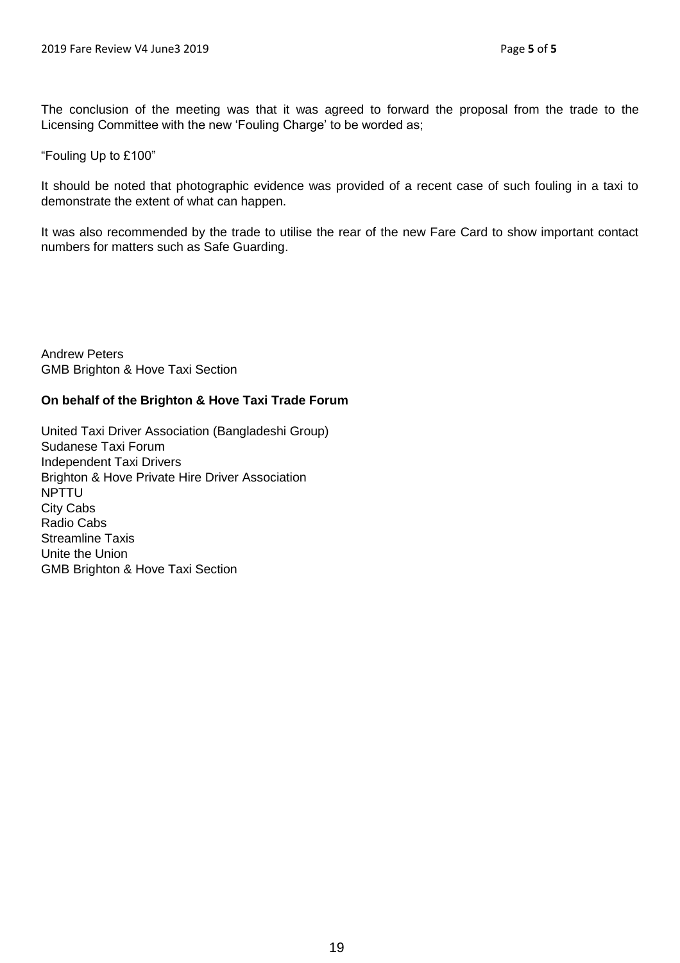The conclusion of the meeting was that it was agreed to forward the proposal from the trade to the Licensing Committee with the new "Fouling Charge" to be worded as;

"Fouling Up to £100"

It should be noted that photographic evidence was provided of a recent case of such fouling in a taxi to demonstrate the extent of what can happen.

It was also recommended by the trade to utilise the rear of the new Fare Card to show important contact numbers for matters such as Safe Guarding.

Andrew Peters GMB Brighton & Hove Taxi Section

#### **On behalf of the Brighton & Hove Taxi Trade Forum**

United Taxi Driver Association (Bangladeshi Group) Sudanese Taxi Forum Independent Taxi Drivers Brighton & Hove Private Hire Driver Association NPTTU City Cabs Radio Cabs Streamline Taxis Unite the Union GMB Brighton & Hove Taxi Section